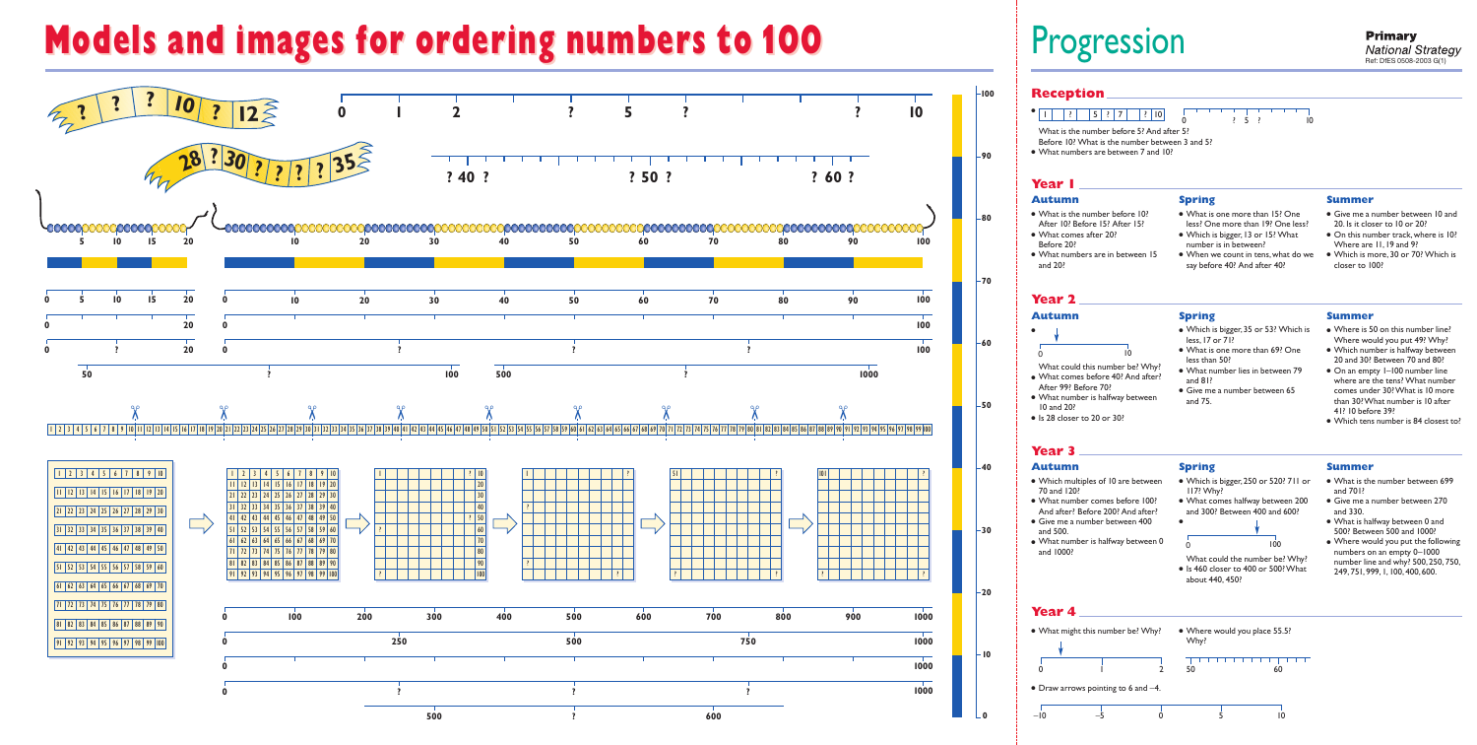

**0**

# **Models and images for ordering numbers to 100 Models and images for ordering numbers to 100** Progression

What could the number be? Why? ● Is 460 closer to 400 or 500? What about 440, 450?

**Reception**

#### ● 1 ? 5?7 ? <sup>10</sup> <sup>0</sup> ? ? 5 10 What is the number before 5? And after 5? Before 10? What is the number between 3 and 5? ● What numbers are between 7 and 10? **Autumn** ● What is the number before 10? After 10? Before 15? After 15? ● What comes after 20? ● What numbers are in between 15 **Spring** ● What is one more than 15? One less? One more than 19? One less? ● Which is bigger,13 or 15? What number is in between? ● When we count in tens,what do we say before 40? And after 40?

**Year 1**

- Give me a number between 270 and 330.
- What is halfway between 0 and 500? Between 500 and 1000?
- Where would you put the following numbers on an empty 0–1000 number line and why? 500, 250, 750, 249,751,999,1,100,400,600.

Before 20?

and 20?



#### **Summer**

- Give me a number between 10 and 20. Is it closer to 10 or 20?
- On this number track, where is 10? Where are 11,19 and 9?
- Which is more,30 or 70? Which is closer to 100?

#### **Autumn**

What could this number be? Why?

- What comes before 40? And after? After 99? Before 70?
- What number is halfway between 10 and 20?
- Is 28 closer to 20 or 30?

**Spring**

● Which is bigger,35 or 53? Which is

● What is one more than 69? One

less,17 or 71?

less than 50?

● What number lies in between 79

● Give me a number between 65

and 81?

and 75.



**Summer**

● Where is 50 on this number line? Where would you put 49? Why? ● Which number is halfway between 20 and 30? Between 70 and 80? • On an empty 1-100 number line where are the tens? What number comes under 30? What is 10 more than 30? What number is 10 after

41? 10 before 39?

● Which tens number is 84 closest to?

#### **Year 2**

#### **Autumn**

- Which multiples of 10 are between 70 and 120?
- What number comes before 100? And after? Before 200? And after?
- Give me a number between 400 and 500.
- What number is halfway between 0 and 1000?

#### **Spring**

● Which is bigger,250 or 520? 711 or 117? Why?

● What comes halfway between 200 and 300? Between 400 and 600?

●

#### **Summer**

● What is the number between 699 and 701?

### **Year 3**

## **Year 4**

## 0 100